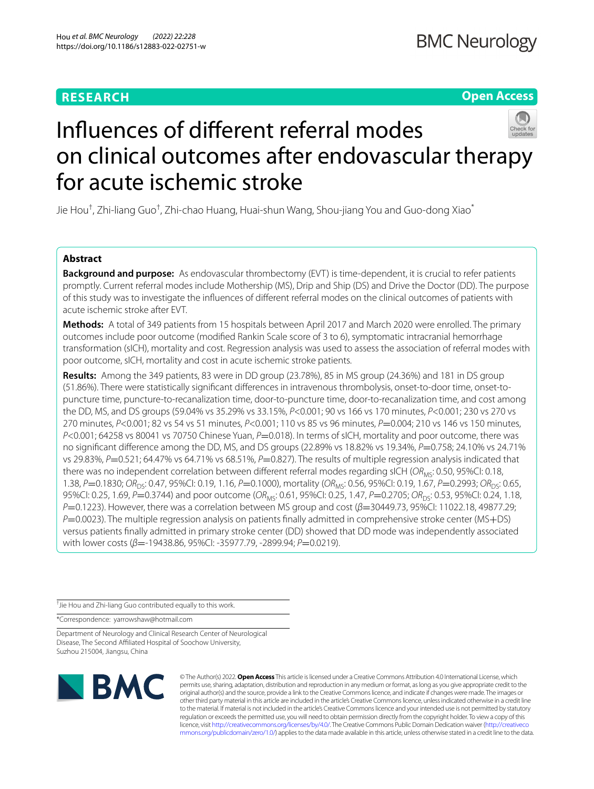# **RESEARCH**

**Open Access**



# Infuences of diferent referral modes on clinical outcomes after endovascular therapy for acute ischemic stroke

Jie Hou<sup>†</sup>, Zhi-liang Guo<sup>†</sup>, Zhi-chao Huang, Huai-shun Wang, Shou-jiang You and Guo-dong Xiao<sup>\*</sup>

## **Abstract**

**Background and purpose:** As endovascular thrombectomy (EVT) is time-dependent, it is crucial to refer patients promptly. Current referral modes include Mothership (MS), Drip and Ship (DS) and Drive the Doctor (DD). The purpose of this study was to investigate the infuences of diferent referral modes on the clinical outcomes of patients with acute ischemic stroke after EVT.

**Methods:** A total of 349 patients from 15 hospitals between April 2017 and March 2020 were enrolled. The primary outcomes include poor outcome (modifed Rankin Scale score of 3 to 6), symptomatic intracranial hemorrhage transformation (sICH), mortality and cost. Regression analysis was used to assess the association of referral modes with poor outcome, sICH, mortality and cost in acute ischemic stroke patients.

**Results:** Among the 349 patients, 83 were in DD group (23.78%), 85 in MS group (24.36%) and 181 in DS group (51.86%). There were statistically signifcant diferences in intravenous thrombolysis, onset-to-door time, onset-topuncture time, puncture-to-recanalization time, door-to-puncture time, door-to-recanalization time, and cost among the DD, MS, and DS groups (59.04% vs 35.29% vs 33.15%, *P*<0.001; 90 vs 166 vs 170 minutes, *P*<0.001; 230 vs 270 vs 270 minutes, *P*<0.001; 82 vs 54 vs 51 minutes, *P*<0.001; 110 vs 85 vs 96 minutes, *P*=0.004; 210 vs 146 vs 150 minutes, *P*<0.001; 64258 vs 80041 vs 70750 Chinese Yuan, *P*=0.018). In terms of sICH, mortality and poor outcome, there was no signifcant diference among the DD, MS, and DS groups (22.89% vs 18.82% vs 19.34%, *P*=0.758; 24.10% vs 24.71% vs 29.83%, *P*=0.521; 64.47% vs 64.71% vs 68.51%, *P*=0.827). The results of multiple regression analysis indicated that there was no independent correlation between different referral modes regarding sICH (OR<sub>MS</sub>: 0.50, 95%CI: 0.18, 1.38, *P*=0.1830; *OR*<sub>DS</sub>: 0.47, 95%CI: 0.19, 1.16, *P*=0.1000), mortality (*OR<sub>MS</sub>*: 0.56, 95%CI: 0.19, 1.67, *P*=0.2993; *OR<sub>DS</sub>*: 0.65, 95%CI: 0.25, 1.69, *P*=0.3744) and poor outcome (*OR<sub>MS</sub>*: 0.61, 95%CI: 0.25, 1.47, *P*=0.2705; *OR<sub>DS</sub>*: 0.53, 95%CI: 0.24, 1.18, *P*=0.1223). However, there was a correlation between MS group and cost (*β*=30449.73, 95%CI: 11022.18, 49877.29; *P*=0.0023). The multiple regression analysis on patients finally admitted in comprehensive stroke center (MS+DS) versus patients fnally admitted in primary stroke center (DD) showed that DD mode was independently associated with lower costs ( $β=$ -19438.86, 95%CI: -35977.79, -2899.94;  $P=$ 0.0219).

† Jie Hou and Zhi-liang Guo contributed equally to this work.

\*Correspondence: yarrowshaw@hotmail.com

Department of Neurology and Clinical Research Center of Neurological Disease, The Second Afliated Hospital of Soochow University, Suzhou 215004, Jiangsu, China



© The Author(s) 2022. **Open Access** This article is licensed under a Creative Commons Attribution 4.0 International License, which permits use, sharing, adaptation, distribution and reproduction in any medium or format, as long as you give appropriate credit to the original author(s) and the source, provide a link to the Creative Commons licence, and indicate if changes were made. The images or other third party material in this article are included in the article's Creative Commons licence, unless indicated otherwise in a credit line to the material. If material is not included in the article's Creative Commons licence and your intended use is not permitted by statutory regulation or exceeds the permitted use, you will need to obtain permission directly from the copyright holder. To view a copy of this licence, visit [http://creativecommons.org/licenses/by/4.0/.](http://creativecommons.org/licenses/by/4.0/) The Creative Commons Public Domain Dedication waiver ([http://creativeco](http://creativecommons.org/publicdomain/zero/1.0/) [mmons.org/publicdomain/zero/1.0/](http://creativecommons.org/publicdomain/zero/1.0/)) applies to the data made available in this article, unless otherwise stated in a credit line to the data.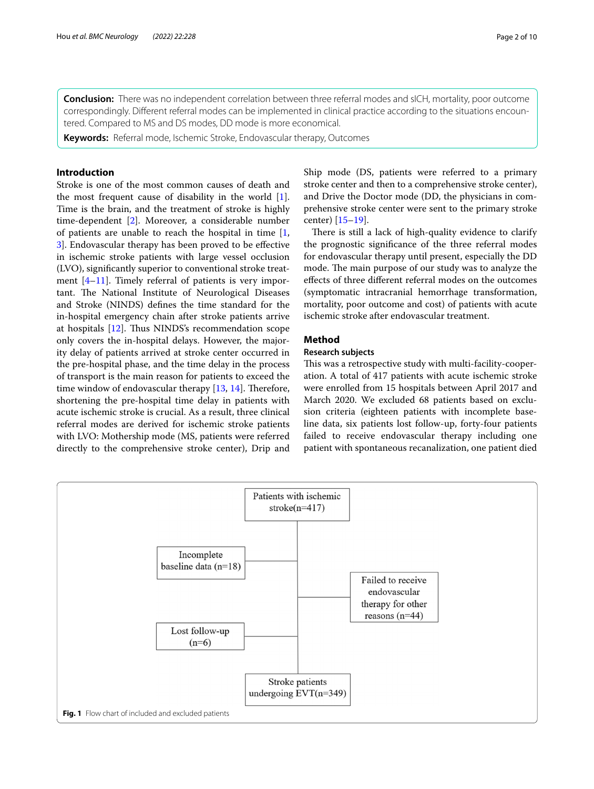**Conclusion:** There was no independent correlation between three referral modes and sICH, mortality, poor outcome correspondingly. Different referral modes can be implemented in clinical practice according to the situations encountered. Compared to MS and DS modes, DD mode is more economical.

**Keywords:** Referral mode, Ischemic Stroke, Endovascular therapy, Outcomes

## **Introduction**

Stroke is one of the most common causes of death and the most frequent cause of disability in the world [\[1](#page-9-0)]. Time is the brain, and the treatment of stroke is highly time-dependent [\[2](#page-9-1)]. Moreover, a considerable number of patients are unable to reach the hospital in time [\[1](#page-9-0), [3\]](#page-9-2). Endovascular therapy has been proved to be efective in ischemic stroke patients with large vessel occlusion (LVO), signifcantly superior to conventional stroke treatment [\[4](#page-9-3)[–11\]](#page-9-4). Timely referral of patients is very important. The National Institute of Neurological Diseases and Stroke (NINDS) defnes the time standard for the in-hospital emergency chain after stroke patients arrive at hospitals  $[12]$  $[12]$ . Thus NINDS's recommendation scope only covers the in-hospital delays. However, the majority delay of patients arrived at stroke center occurred in the pre-hospital phase, and the time delay in the process of transport is the main reason for patients to exceed the time window of endovascular therapy  $[13, 14]$  $[13, 14]$  $[13, 14]$ . Therefore, shortening the pre-hospital time delay in patients with acute ischemic stroke is crucial. As a result, three clinical referral modes are derived for ischemic stroke patients with LVO: Mothership mode (MS, patients were referred directly to the comprehensive stroke center), Drip and Ship mode (DS, patients were referred to a primary stroke center and then to a comprehensive stroke center), and Drive the Doctor mode (DD, the physicians in comprehensive stroke center were sent to the primary stroke center) [[15–](#page-9-8)[19\]](#page-9-9).

There is still a lack of high-quality evidence to clarify the prognostic signifcance of the three referral modes for endovascular therapy until present, especially the DD mode. The main purpose of our study was to analyze the efects of three diferent referral modes on the outcomes (symptomatic intracranial hemorrhage transformation, mortality, poor outcome and cost) of patients with acute ischemic stroke after endovascular treatment.

## **Method**

## **Research subjects**

This was a retrospective study with multi-facility-cooperation. A total of 417 patients with acute ischemic stroke were enrolled from 15 hospitals between April 2017 and March 2020. We excluded 68 patients based on exclusion criteria (eighteen patients with incomplete baseline data, six patients lost follow-up, forty-four patients failed to receive endovascular therapy including one patient with spontaneous recanalization, one patient died

<span id="page-1-0"></span>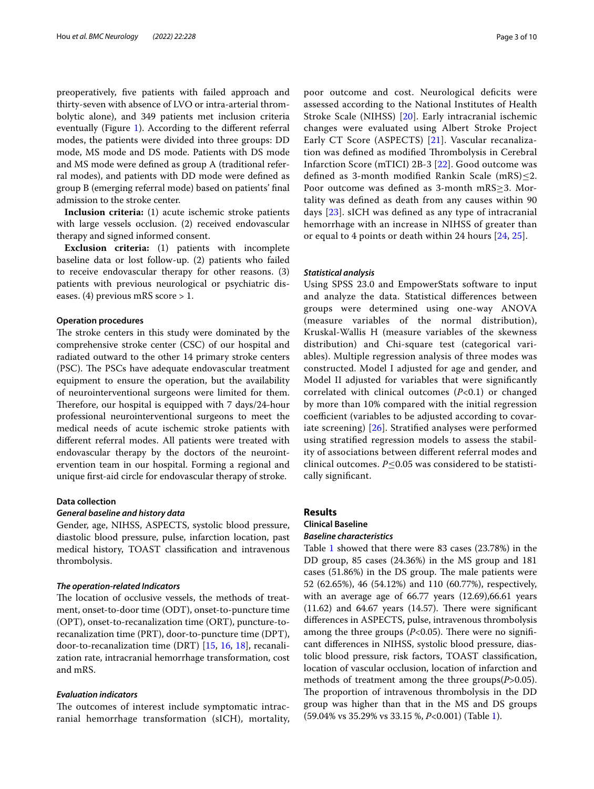preoperatively, fve patients with failed approach and thirty-seven with absence of LVO or intra-arterial thrombolytic alone), and 349 patients met inclusion criteria eventually (Figure [1](#page-1-0)). According to the diferent referral modes, the patients were divided into three groups: DD mode, MS mode and DS mode. Patients with DS mode and MS mode were defned as group A (traditional referral modes), and patients with DD mode were defned as group B (emerging referral mode) based on patients' fnal admission to the stroke center.

**Inclusion criteria:** (1) acute ischemic stroke patients with large vessels occlusion. (2) received endovascular therapy and signed informed consent.

**Exclusion criteria:** (1) patients with incomplete baseline data or lost follow-up. (2) patients who failed to receive endovascular therapy for other reasons. (3) patients with previous neurological or psychiatric diseases. (4) previous mRS score > 1.

#### **Operation procedures**

The stroke centers in this study were dominated by the comprehensive stroke center (CSC) of our hospital and radiated outward to the other 14 primary stroke centers (PSC). The PSCs have adequate endovascular treatment equipment to ensure the operation, but the availability of neurointerventional surgeons were limited for them. Therefore, our hospital is equipped with 7 days/24-hour professional neurointerventional surgeons to meet the medical needs of acute ischemic stroke patients with diferent referral modes. All patients were treated with endovascular therapy by the doctors of the neurointervention team in our hospital. Forming a regional and unique frst-aid circle for endovascular therapy of stroke.

#### **Data collection**

## *General baseline and history data*

Gender, age, NIHSS, ASPECTS, systolic blood pressure, diastolic blood pressure, pulse, infarction location, past medical history, TOAST classifcation and intravenous thrombolysis.

## *The operation‑related Indicators*

The location of occlusive vessels, the methods of treatment, onset-to-door time (ODT), onset-to-puncture time (OPT), onset-to-recanalization time (ORT), puncture-torecanalization time (PRT), door-to-puncture time (DPT), door-to-recanalization time (DRT) [\[15](#page-9-8), [16](#page-9-10), [18](#page-9-11)], recanalization rate, intracranial hemorrhage transformation, cost and mRS.

## *Evaluation indicators*

The outcomes of interest include symptomatic intracranial hemorrhage transformation (sICH), mortality,

poor outcome and cost. Neurological deficits were assessed according to the National Institutes of Health Stroke Scale (NIHSS) [[20](#page-9-12)]. Early intracranial ischemic changes were evaluated using Albert Stroke Project Early CT Score (ASPECTS) [[21](#page-9-13)]. Vascular recanalization was defined as modified Thrombolysis in Cerebral Infarction Score (mTICI) 2B-3 [[22\]](#page-9-14). Good outcome was defined as 3-month modified Rankin Scale (mRS)<2. Poor outcome was defned as 3-month mRS≥3. Mortality was defned as death from any causes within 90 days [[23\]](#page-9-15). sICH was defned as any type of intracranial hemorrhage with an increase in NIHSS of greater than or equal to 4 points or death within 24 hours [[24,](#page-9-16) [25\]](#page-9-17).

## *Statistical analysis*

Using SPSS 23.0 and EmpowerStats software to input and analyze the data. Statistical diferences between groups were determined using one-way ANOVA (measure variables of the normal distribution), Kruskal-Wallis H (measure variables of the skewness distribution) and Chi-square test (categorical variables). Multiple regression analysis of three modes was constructed. Model I adjusted for age and gender, and Model II adjusted for variables that were signifcantly correlated with clinical outcomes (*P*<0.1) or changed by more than 10% compared with the initial regression coefficient (variables to be adjusted according to covariate screening) [[26](#page-9-18)]. Stratifed analyses were performed using stratifed regression models to assess the stability of associations between diferent referral modes and clinical outcomes. *P*≤0.05 was considered to be statistically signifcant.

### **Results**

# **Clinical Baseline**

## *Baseline characteristics*

Table [1](#page-3-0) showed that there were 83 cases (23.78%) in the DD group, 85 cases (24.36%) in the MS group and 181 cases  $(51.86%)$  in the DS group. The male patients were 52 (62.65%), 46 (54.12%) and 110 (60.77%), respectively, with an average age of 66.77 years (12.69),66.61 years  $(11.62)$  and  $64.67$  years  $(14.57)$ . There were significant diferences in ASPECTS, pulse, intravenous thrombolysis among the three groups  $(P<0.05)$ . There were no significant diferences in NIHSS, systolic blood pressure, diastolic blood pressure, risk factors, TOAST classifcation, location of vascular occlusion, location of infarction and methods of treatment among the three groups(*P*>0.05). The proportion of intravenous thrombolysis in the DD group was higher than that in the MS and DS groups (59.04% vs 35.29% vs 33.15 %, *P*<0.001) (Table [1](#page-3-0)).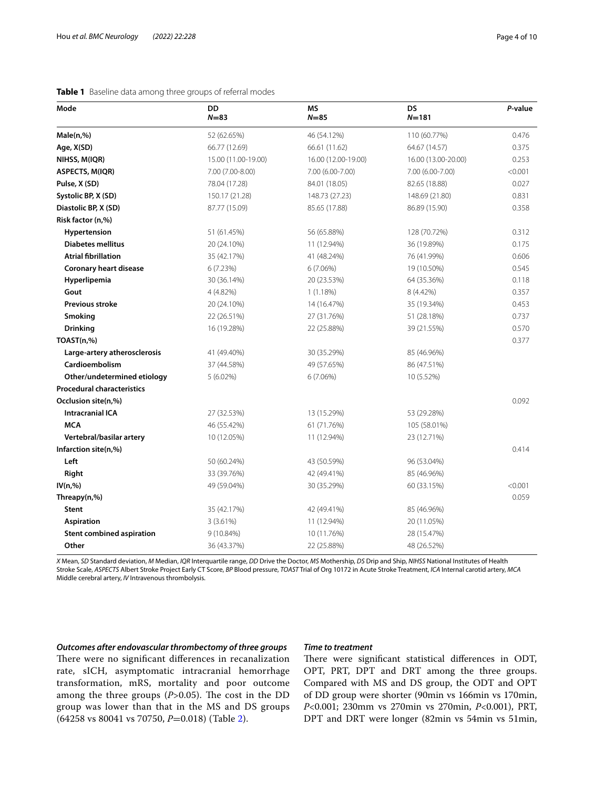| Mode                              | <b>DD</b><br>$N = 83$ | <b>MS</b><br>$N = 85$ | <b>DS</b><br>$N = 181$ | P-value |
|-----------------------------------|-----------------------|-----------------------|------------------------|---------|
| Male(n,%)                         | 52 (62.65%)           | 46 (54.12%)           | 110 (60.77%)           | 0.476   |
| Age, X(SD)                        | 66.77 (12.69)         | 66.61 (11.62)         | 64.67 (14.57)          | 0.375   |
| NIHSS, M(IQR)                     | 15.00 (11.00-19.00)   | 16.00 (12.00-19.00)   | 16.00 (13.00-20.00)    | 0.253   |
| ASPECTS, M(IQR)                   | 7.00 (7.00-8.00)      | 7.00 (6.00-7.00)      | 7.00 (6.00-7.00)       | < 0.001 |
| Pulse, X (SD)                     | 78.04 (17.28)         | 84.01 (18.05)         | 82.65 (18.88)          | 0.027   |
| Systolic BP, X (SD)               | 150.17 (21.28)        | 148.73 (27.23)        | 148.69 (21.80)         | 0.831   |
| Diastolic BP, X (SD)              | 87.77 (15.09)         | 85.65 (17.88)         | 86.89 (15.90)          | 0.358   |
| Risk factor (n,%)                 |                       |                       |                        |         |
| Hypertension                      | 51 (61.45%)           | 56 (65.88%)           | 128 (70.72%)           | 0.312   |
| <b>Diabetes mellitus</b>          | 20 (24.10%)           | 11 (12.94%)           | 36 (19.89%)            | 0.175   |
| <b>Atrial fibrillation</b>        | 35 (42.17%)           | 41 (48.24%)           | 76 (41.99%)            | 0.606   |
| <b>Coronary heart disease</b>     | 6(7.23%)              | 6(7.06%)              | 19 (10.50%)            | 0.545   |
| Hyperlipemia                      | 30 (36.14%)           | 20 (23.53%)           | 64 (35.36%)            | 0.118   |
| Gout                              | 4 (4.82%)             | 1(1.18%)              | 8 (4.42%)              | 0.357   |
| <b>Previous stroke</b>            | 20 (24.10%)           | 14 (16.47%)           | 35 (19.34%)            | 0.453   |
| Smoking                           | 22 (26.51%)           | 27 (31.76%)           | 51 (28.18%)            | 0.737   |
| <b>Drinking</b>                   | 16 (19.28%)           | 22 (25.88%)           | 39 (21.55%)            | 0.570   |
| TOAST(n,%)                        |                       |                       |                        | 0.377   |
| Large-artery atherosclerosis      | 41 (49.40%)           | 30 (35.29%)           | 85 (46.96%)            |         |
| Cardioembolism                    | 37 (44.58%)           | 49 (57.65%)           | 86 (47.51%)            |         |
| Other/undetermined etiology       | $5(6.02\%)$           | 6(7.06%)              | 10 (5.52%)             |         |
| <b>Procedural characteristics</b> |                       |                       |                        |         |
| Occlusion site(n,%)               |                       |                       |                        | 0.092   |
| <b>Intracranial ICA</b>           | 27 (32.53%)           | 13 (15.29%)           | 53 (29.28%)            |         |
| <b>MCA</b>                        | 46 (55.42%)           | 61 (71.76%)           | 105 (58.01%)           |         |
| Vertebral/basilar artery          | 10 (12.05%)           | 11 (12.94%)           | 23 (12.71%)            |         |
| Infarction site(n,%)              |                       |                       |                        | 0.414   |
| Left                              | 50 (60.24%)           | 43 (50.59%)           | 96 (53.04%)            |         |
| Right                             | 33 (39.76%)           | 42 (49.41%)           | 85 (46.96%)            |         |
| IV(n,%)                           | 49 (59.04%)           | 30 (35.29%)           | 60 (33.15%)            | < 0.001 |
| Threapy(n,%)                      |                       |                       |                        | 0.059   |
| Stent                             | 35 (42.17%)           | 42 (49.41%)           | 85 (46.96%)            |         |
| <b>Aspiration</b>                 | 3(3.61%)              | 11 (12.94%)           | 20 (11.05%)            |         |
| <b>Stent combined aspiration</b>  | 9 (10.84%)            | 10 (11.76%)           | 28 (15.47%)            |         |
| Other                             | 36 (43.37%)           | 22 (25.88%)           | 48 (26.52%)            |         |

<span id="page-3-0"></span>**Table 1** Baseline data among three groups of referral modes

*X* Mean, *SD* Standard deviation, *M* Median, *IQR* Interquartile range, *DD* Drive the Doctor, *MS* Mothership, *DS* Drip and Ship, *NIHSS* National Institutes of Health Stroke Scale, *ASPECTS* Albert Stroke Project Early CT Score, *BP* Blood pressure, *TOAST* Trial of Org 10172 in Acute Stroke Treatment, *ICA* Internal carotid artery, *MCA* Middle cerebral artery, *IV* Intravenous thrombolysis.

## *Outcomes after endovascular thrombectomy of three groups*

group was lower than that in the MS and DS groups

(64258 vs 80041 vs 70750, *P*=0.018) (Table [2\)](#page-4-0).

## There were no significant differences in recanalization rate, sICH, asymptomatic intracranial hemorrhage transformation, mRS, mortality and poor outcome among the three groups  $(P>0.05)$ . The cost in the DD

## *Time to treatment*

There were significant statistical differences in ODT, OPT, PRT, DPT and DRT among the three groups. Compared with MS and DS group, the ODT and OPT of DD group were shorter (90min vs 166min vs 170min, *P*<0.001; 230mm vs 270min vs 270min, *P*<0.001), PRT, DPT and DRT were longer (82min vs 54min vs 51min,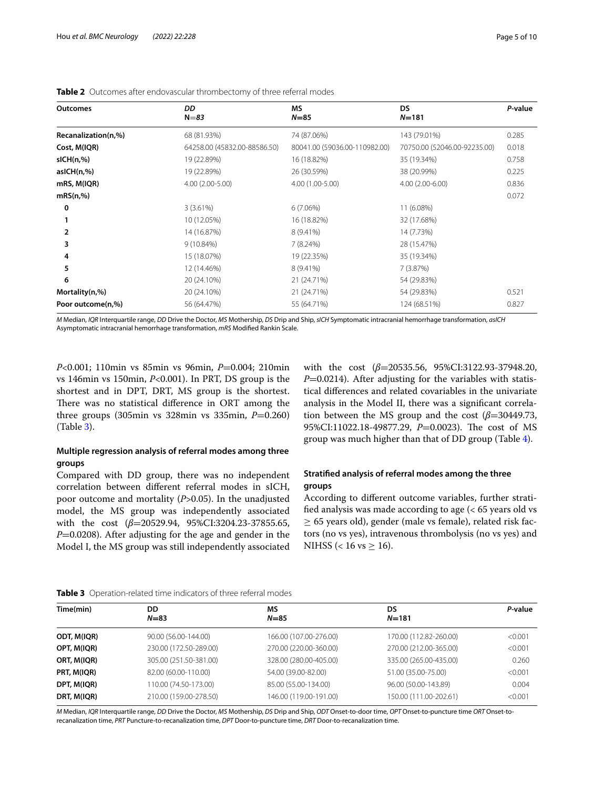| <b>Outcomes</b>     | DD<br>$N = 83$               | ΜS<br>$N = 85$                | <b>DS</b><br>$N = 181$       | P-value |
|---------------------|------------------------------|-------------------------------|------------------------------|---------|
| Recanalization(n,%) | 68 (81.93%)                  | 74 (87.06%)                   | 143 (79.01%)                 | 0.285   |
| Cost, M(IQR)        | 64258.00 (45832.00-88586.50) | 80041.00 (59036.00-110982.00) | 70750.00 (52046.00-92235.00) | 0.018   |
| slCH(n,%)           | 19 (22.89%)                  | 16 (18.82%)                   | 35 (19.34%)                  | 0.758   |
| asICH(n,%)          | 19 (22.89%)                  | 26 (30.59%)                   | 38 (20.99%)                  | 0.225   |
| mRS, M(IQR)         | 4.00 (2.00-5.00)             | 4.00 (1.00-5.00)              | 4.00 (2.00-6.00)             | 0.836   |
| mRS(n,%)            |                              |                               |                              | 0.072   |
| 0                   | 3(3.61%)                     | 6(7.06%)                      | 11 (6.08%)                   |         |
|                     | 10 (12.05%)                  | 16 (18.82%)                   | 32 (17.68%)                  |         |
|                     | 14 (16.87%)                  | 8 (9.41%)                     | 14 (7.73%)                   |         |
|                     | $9(10.84\%)$                 | 7 (8.24%)                     | 28 (15.47%)                  |         |
|                     | 15 (18.07%)                  | 19 (22.35%)                   | 35 (19.34%)                  |         |
| 5                   | 12 (14.46%)                  | 8 (9.41%)                     | 7(3.87%)                     |         |
| 6                   | 20 (24.10%)                  | 21 (24.71%)                   | 54 (29.83%)                  |         |
| Mortality(n,%)      | 20 (24.10%)                  | 21 (24.71%)                   | 54 (29.83%)                  | 0.521   |
| Poor outcome(n,%)   | 56 (64.47%)                  | 55 (64.71%)                   | 124 (68.51%)                 | 0.827   |

<span id="page-4-0"></span>**Table 2** Outcomes after endovascular thrombectomy of three referral modes

*M* Median, *IQR* Interquartile range, *DD* Drive the Doctor, *MS* Mothership, *DS* Drip and Ship, *sICH* Symptomatic intracranial hemorrhage transformation, *asICH* Asymptomatic intracranial hemorrhage transformation, *mRS* Modifed Rankin Scale.

*P*<0.001; 110min vs 85min vs 96min, *P*=0.004; 210min vs 146min vs 150min, *P*<0.001). In PRT, DS group is the shortest and in DPT, DRT, MS group is the shortest. There was no statistical difference in ORT among the three groups  $(305\text{min vs } 328\text{min vs } 335\text{min}, P=0.260)$ (Table [3](#page-4-1)).

## **Multiple regression analysis of referral modes among three groups**

Compared with DD group, there was no independent correlation between diferent referral modes in sICH, poor outcome and mortality (*P*>0.05). In the unadjusted model, the MS group was independently associated with the cost (β=20529.94, 95%CI:3204.23-37855.65, *P*=0.0208). After adjusting for the age and gender in the Model I, the MS group was still independently associated with the cost (β=20535.56, 95%CI:3122.93-37948.20, *P*=0.0214). After adjusting for the variables with statistical diferences and related covariables in the univariate analysis in the Model II, there was a signifcant correlation between the MS group and the cost (*β*=30449.73, 95%CI:11022.18-49877.29, *P*=0.0023). The cost of MS group was much higher than that of DD group (Table [4](#page-5-0)).

## **Stratifed analysis of referral modes among the three groups**

According to diferent outcome variables, further stratifed analysis was made according to age (< 65 years old vs  $\geq$  65 years old), gender (male vs female), related risk factors (no vs yes), intravenous thrombolysis (no vs yes) and NIHSS (< 16 vs  $\geq$  16).

<span id="page-4-1"></span>

| Time(min)   | <b>DD</b><br>$N=83$    | <b>MS</b><br>$N = 85$  | DS<br>$N = 181$        | P-value |
|-------------|------------------------|------------------------|------------------------|---------|
| ODT, M(IQR) | 90.00 (56.00-144.00)   | 166.00 (107.00-276.00) | 170.00 (112.82-260.00) | < 0.001 |
| OPT, M(IQR) | 230.00 (172.50-289.00) | 270.00 (220.00-360.00) | 270.00 (212.00-365.00) | < 0.001 |
| ORT, M(IQR) | 305.00 (251.50-381.00) | 328.00 (280.00-405.00) | 335.00 (265.00-435.00) | 0.260   |
| PRT, M(IQR) | 82.00 (60.00-110.00)   | 54.00 (39.00-82.00)    | 51.00 (35.00-75.00)    | < 0.001 |
| DPT, M(IQR) | 110.00 (74.50-173.00)  | 85.00 (55.00-134.00)   | 96.00 (50.00-143.89)   | 0.004   |
| DRT, M(IQR) | 210.00 (159.00-278.50) | 146.00 (119.00-191.00) | 150.00 (111.00-202.61) | < 0.001 |

*M* Median, *IQR* Interquartile range, *DD* Drive the Doctor, *MS* Mothership, *DS* Drip and Ship, *ODT* Onset-to-door time, *OPT* Onset-to-puncture time *ORT* Onset-torecanalization time, *PRT* Puncture-to-recanalization time, *DPT* Door-to-puncture time, *DRT* Door-to-recanalization time.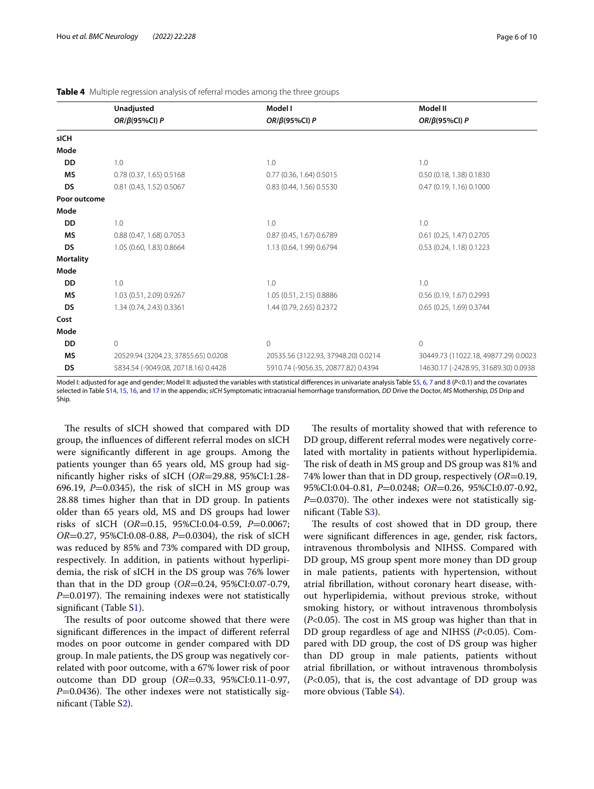|                  | Unadjusted                          | Model I                             | Model II                             |
|------------------|-------------------------------------|-------------------------------------|--------------------------------------|
|                  | OR/ $\beta$ (95%CI) P               | OR/ $\beta$ (95%CI) P               | OR/ $\beta$ (95%CI) P                |
| sICH             |                                     |                                     |                                      |
| Mode             |                                     |                                     |                                      |
| <b>DD</b>        | 1.0                                 | 1.0                                 | 1.0                                  |
| <b>MS</b>        | 0.78 (0.37, 1.65) 0.5168            | 0.77 (0.36, 1.64) 0.5015            | 0.50 (0.18, 1.38) 0.1830             |
| DS               | 0.81 (0.43, 1.52) 0.5067            | 0.83 (0.44, 1.56) 0.5530            | 0.47 (0.19, 1.16) 0.1000             |
| Poor outcome     |                                     |                                     |                                      |
| Mode             |                                     |                                     |                                      |
| <b>DD</b>        | 1.0                                 | 1.0                                 | 1.0                                  |
| <b>MS</b>        | 0.88 (0.47, 1.68) 0.7053            | 0.87 (0.45, 1.67) 0.6789            | 0.61 (0.25, 1.47) 0.2705             |
| <b>DS</b>        | 1.05 (0.60, 1.83) 0.8664            | 1.13 (0.64, 1.99) 0.6794            | 0.53 (0.24, 1.18) 0.1223             |
| <b>Mortality</b> |                                     |                                     |                                      |
| Mode             |                                     |                                     |                                      |
| <b>DD</b>        | 1.0                                 | 1.0                                 | 1.0                                  |
| <b>MS</b>        | 1.03 (0.51, 2.09) 0.9267            | 1.05 (0.51, 2.15) 0.8886            | 0.56 (0.19, 1.67) 0.2993             |
| DS               | 1.34 (0.74, 2.43) 0.3361            | 1.44 (0.79, 2.65) 0.2372            | 0.65 (0.25, 1.69) 0.3744             |
| Cost             |                                     |                                     |                                      |
| Mode             |                                     |                                     |                                      |
| <b>DD</b>        | $\overline{0}$                      | 0                                   | $\mathbf 0$                          |
| <b>MS</b>        | 20529.94 (3204.23, 37855.65) 0.0208 | 20535.56 (3122.93, 37948.20) 0.0214 | 30449.73 (11022.18, 49877.29) 0.0023 |
| DS               | 5834.54 (-9049.08, 20718.16) 0.4428 | 5910.74 (-9056.35, 20877.82) 0.4394 | 14630.17 (-2428.95, 31689.30) 0.0938 |

<span id="page-5-0"></span>**Table 4** Multiple regression analysis of referral modes among the three groups

Model I: adjusted for age and gender; Model II: adjusted the variables with statistical diferences in univariate analysis Table S[5](#page-8-0), [6,](#page-8-0) [7](#page-8-0) and [8](#page-8-0) (*P*<0.1) and the covariates selected in Table S[14,](#page-8-0) [15](#page-8-0), [16](#page-8-0), and [17](#page-8-0) in the appendix; *sICH* Symptomatic intracranial hemorrhage transformation, *DD* Drive the Doctor, *MS* Mothership, *DS* Drip and Ship.

The results of sICH showed that compared with DD group, the infuences of diferent referral modes on sICH were signifcantly diferent in age groups. Among the patients younger than 65 years old, MS group had signifcantly higher risks of sICH (*OR*=29.88, 95%CI:1.28- 696.19,  $P=0.0345$ ), the risk of sICH in MS group was 28.88 times higher than that in DD group. In patients older than 65 years old, MS and DS groups had lower risks of sICH (*OR*=0.15, 95%CI:0.04-0.59, *P*=0.0067; *OR*=0.27, 95%CI:0.08-0.88, *P*=0.0304), the risk of sICH was reduced by 85% and 73% compared with DD group, respectively. In addition, in patients without hyperlipidemia, the risk of sICH in the DS group was 76% lower than that in the DD group (*OR*=0.24, 95%CI:0.07-0.79,  $P=0.0197$ ). The remaining indexes were not statistically signifcant (Table [S1](#page-8-0)).

The results of poor outcome showed that there were signifcant diferences in the impact of diferent referral modes on poor outcome in gender compared with DD group. In male patients, the DS group was negatively correlated with poor outcome, with a 67% lower risk of poor outcome than DD group (*OR*=0.33, 95%CI:0.11-0.97,  $P=0.0436$ ). The other indexes were not statistically signifcant (Table S[2\)](#page-8-0).

The results of mortality showed that with reference to DD group, diferent referral modes were negatively correlated with mortality in patients without hyperlipidemia. The risk of death in MS group and DS group was 81% and 74% lower than that in DD group, respectively (*OR*=0.19, 95%CI:0.04-0.81, *P*=0.0248; *OR*=0.26, 95%CI:0.07-0.92, *P*=0.0370). The other indexes were not statistically signifcant (Table [S3\)](#page-8-0).

The results of cost showed that in DD group, there were signifcant diferences in age, gender, risk factors, intravenous thrombolysis and NIHSS. Compared with DD group, MS group spent more money than DD group in male patients, patients with hypertension, without atrial fbrillation, without coronary heart disease, without hyperlipidemia, without previous stroke, without smoking history, or without intravenous thrombolysis  $(P<0.05)$ . The cost in MS group was higher than that in DD group regardless of age and NIHSS (*P*<0.05). Compared with DD group, the cost of DS group was higher than DD group in male patients, patients without atrial fbrillation, or without intravenous thrombolysis (*P*<0.05), that is, the cost advantage of DD group was more obvious (Table S[4\)](#page-8-0).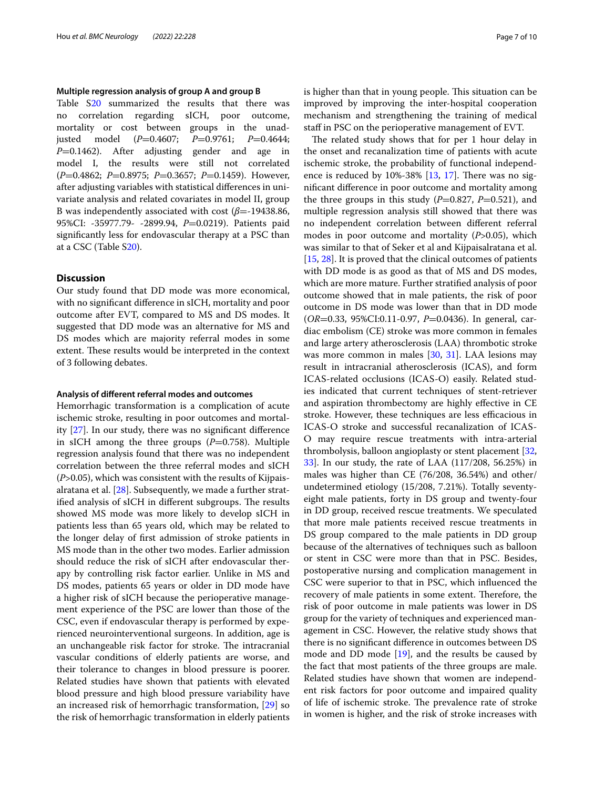### **Multiple regression analysis of group A and group B**

Table [S20](#page-8-0) summarized the results that there was no correlation regarding sICH, poor outcome, mortality or cost between groups in the unadjusted model (*P*=0.4607; *P*=0.9761; *P*=0.4644; *P*=0.1462). After adjusting gender and age in model I, the results were still not correlated (*P*=0.4862; *P*=0.8975; *P*=0.3657; *P*=0.1459). However, after adjusting variables with statistical diferences in univariate analysis and related covariates in model II, group B was independently associated with cost (*β*=-19438.86, 95%CI: -35977.79- -2899.94, P=0.0219). Patients paid signifcantly less for endovascular therapy at a PSC than at a CSC (Table [S20](#page-8-0)).

## **Discussion**

Our study found that DD mode was more economical, with no signifcant diference in sICH, mortality and poor outcome after EVT, compared to MS and DS modes. It suggested that DD mode was an alternative for MS and DS modes which are majority referral modes in some extent. These results would be interpreted in the context of 3 following debates.

#### **Analysis of diferent referral modes and outcomes**

Hemorrhagic transformation is a complication of acute ischemic stroke, resulting in poor outcomes and mortality [\[27](#page-9-19)]. In our study, there was no signifcant diference in sICH among the three groups  $(P=0.758)$ . Multiple regression analysis found that there was no independent correlation between the three referral modes and sICH (*P*>0.05), which was consistent with the results of Kijpaisalratana et al. [\[28](#page-9-20)]. Subsequently, we made a further stratified analysis of sICH in different subgroups. The results showed MS mode was more likely to develop sICH in patients less than 65 years old, which may be related to the longer delay of frst admission of stroke patients in MS mode than in the other two modes. Earlier admission should reduce the risk of sICH after endovascular therapy by controlling risk factor earlier. Unlike in MS and DS modes, patients 65 years or older in DD mode have a higher risk of sICH because the perioperative management experience of the PSC are lower than those of the CSC, even if endovascular therapy is performed by experienced neurointerventional surgeons. In addition, age is an unchangeable risk factor for stroke. The intracranial vascular conditions of elderly patients are worse, and their tolerance to changes in blood pressure is poorer. Related studies have shown that patients with elevated blood pressure and high blood pressure variability have an increased risk of hemorrhagic transformation, [[29](#page-9-21)] so the risk of hemorrhagic transformation in elderly patients is higher than that in young people. This situation can be improved by improving the inter-hospital cooperation mechanism and strengthening the training of medical staf in PSC on the perioperative management of EVT.

The related study shows that for per 1 hour delay in the onset and recanalization time of patients with acute ischemic stroke, the probability of functional independence is reduced by  $10\% - 38\%$  [[13,](#page-9-6) [17](#page-9-22)]. There was no signifcant diference in poor outcome and mortality among the three groups in this study  $(P=0.827, P=0.521)$ , and multiple regression analysis still showed that there was no independent correlation between diferent referral modes in poor outcome and mortality (*P*>0.05), which was similar to that of Seker et al and Kijpaisalratana et al. [[15,](#page-9-8) [28](#page-9-20)]. It is proved that the clinical outcomes of patients with DD mode is as good as that of MS and DS modes, which are more mature. Further stratifed analysis of poor outcome showed that in male patients, the risk of poor outcome in DS mode was lower than that in DD mode (*OR*=0.33, 95%CI:0.11-0.97, *P*=0.0436). In general, cardiac embolism (CE) stroke was more common in females and large artery atherosclerosis (LAA) thrombotic stroke was more common in males [[30](#page-9-23), [31](#page-9-24)]. LAA lesions may result in intracranial atherosclerosis (ICAS), and form ICAS-related occlusions (ICAS-O) easily. Related studies indicated that current techniques of stent-retriever and aspiration thrombectomy are highly efective in CE stroke. However, these techniques are less efficacious in ICAS-O stroke and successful recanalization of ICAS-O may require rescue treatments with intra-arterial thrombolysis, balloon angioplasty or stent placement [[32](#page-9-25), [33\]](#page-9-26). In our study, the rate of LAA (117/208, 56.25%) in males was higher than CE (76/208, 36.54%) and other/ undetermined etiology (15/208, 7.21%). Totally seventyeight male patients, forty in DS group and twenty-four in DD group, received rescue treatments. We speculated that more male patients received rescue treatments in DS group compared to the male patients in DD group because of the alternatives of techniques such as balloon or stent in CSC were more than that in PSC. Besides, postoperative nursing and complication management in CSC were superior to that in PSC, which infuenced the recovery of male patients in some extent. Therefore, the risk of poor outcome in male patients was lower in DS group for the variety of techniques and experienced management in CSC. However, the relative study shows that there is no signifcant diference in outcomes between DS mode and DD mode [[19](#page-9-9)], and the results be caused by the fact that most patients of the three groups are male. Related studies have shown that women are independent risk factors for poor outcome and impaired quality of life of ischemic stroke. The prevalence rate of stroke in women is higher, and the risk of stroke increases with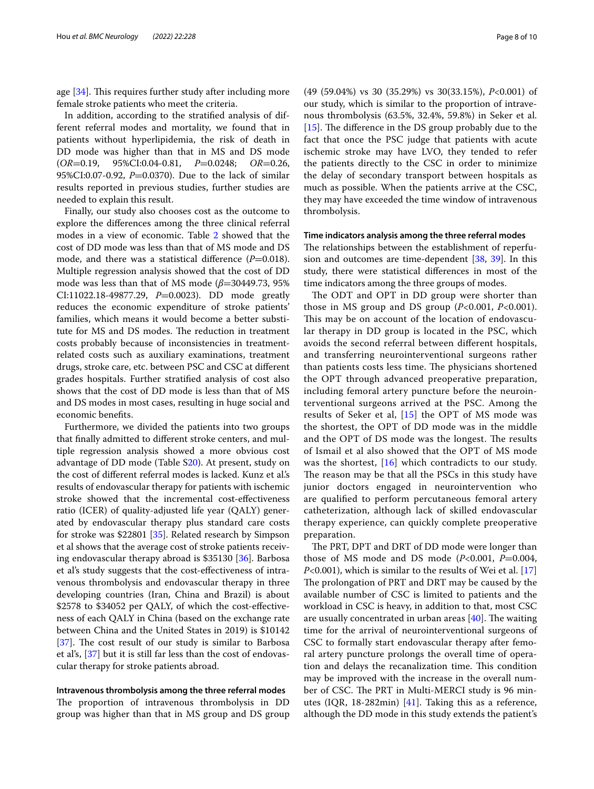age  $[34]$ . This requires further study after including more female stroke patients who meet the criteria.

In addition, according to the stratifed analysis of different referral modes and mortality, we found that in patients without hyperlipidemia, the risk of death in DD mode was higher than that in MS and DS mode (*OR*=0.19, 95%CI:0.04-0.81, *P*=0.0248; *OR*=0.26, 95%CI:0.07-0.92, *P*=0.0370). Due to the lack of similar results reported in previous studies, further studies are needed to explain this result.

Finally, our study also chooses cost as the outcome to explore the diferences among the three clinical referral modes in a view of economic. Table [2](#page-4-0) showed that the cost of DD mode was less than that of MS mode and DS mode, and there was a statistical difference (*P*=0.018). Multiple regression analysis showed that the cost of DD mode was less than that of MS mode (*β*=30449.73, 95% CI:11022.18-49877.29, *P*=0.0023). DD mode greatly reduces the economic expenditure of stroke patients' families, which means it would become a better substitute for MS and DS modes. The reduction in treatment costs probably because of inconsistencies in treatmentrelated costs such as auxiliary examinations, treatment drugs, stroke care, etc. between PSC and CSC at diferent grades hospitals. Further stratifed analysis of cost also shows that the cost of DD mode is less than that of MS and DS modes in most cases, resulting in huge social and economic benefts.

Furthermore, we divided the patients into two groups that fnally admitted to diferent stroke centers, and multiple regression analysis showed a more obvious cost advantage of DD mode (Table [S20](#page-8-0)). At present, study on the cost of diferent referral modes is lacked. Kunz et al.'s results of endovascular therapy for patients with ischemic stroke showed that the incremental cost-efectiveness ratio (ICER) of quality-adjusted life year (QALY) generated by endovascular therapy plus standard care costs for stroke was \$22801 [\[35](#page-9-28)]. Related research by Simpson et al shows that the average cost of stroke patients receiving endovascular therapy abroad is \$35130 [\[36](#page-9-29)]. Barbosa et al's study suggests that the cost-efectiveness of intravenous thrombolysis and endovascular therapy in three developing countries (Iran, China and Brazil) is about \$2578 to \$34052 per QALY, of which the cost-efectiveness of each QALY in China (based on the exchange rate between China and the United States in 2019) is \$10142 [[37\]](#page-9-30). The cost result of our study is similar to Barbosa et al's, [[37](#page-9-30)] but it is still far less than the cost of endovascular therapy for stroke patients abroad.

# **Intravenous thrombolysis among the three referral modes**

The proportion of intravenous thrombolysis in DD group was higher than that in MS group and DS group (49 (59.04%) vs 30 (35.29%) vs 30(33.15%), *P*<0.001) of our study, which is similar to the proportion of intravenous thrombolysis (63.5%, 32.4%, 59.8%) in Seker et al. [[15\]](#page-9-8). The difference in the DS group probably due to the fact that once the PSC judge that patients with acute ischemic stroke may have LVO, they tended to refer the patients directly to the CSC in order to minimize the delay of secondary transport between hospitals as much as possible. When the patients arrive at the CSC, they may have exceeded the time window of intravenous thrombolysis.

#### **Time indicators analysis among the three referral modes**

The relationships between the establishment of reperfusion and outcomes are time-dependent  $[38, 39]$  $[38, 39]$  $[38, 39]$ . In this study, there were statistical diferences in most of the time indicators among the three groups of modes.

The ODT and OPT in DD group were shorter than those in MS group and DS group (*P*<0.001, *P*<0.001). This may be on account of the location of endovascular therapy in DD group is located in the PSC, which avoids the second referral between diferent hospitals, and transferring neurointerventional surgeons rather than patients costs less time. The physicians shortened the OPT through advanced preoperative preparation, including femoral artery puncture before the neurointerventional surgeons arrived at the PSC. Among the results of Seker et al, [\[15](#page-9-8)] the OPT of MS mode was the shortest, the OPT of DD mode was in the middle and the OPT of DS mode was the longest. The results of Ismail et al also showed that the OPT of MS mode was the shortest,  $[16]$  which contradicts to our study. The reason may be that all the PSCs in this study have junior doctors engaged in neurointervention who are qualifed to perform percutaneous femoral artery catheterization, although lack of skilled endovascular therapy experience, can quickly complete preoperative preparation.

The PRT, DPT and DRT of DD mode were longer than those of MS mode and DS mode  $(P<0.001, P=0.004,$ *P*<0.001), which is similar to the results of Wei et al. [\[17](#page-9-22)] The prolongation of PRT and DRT may be caused by the available number of CSC is limited to patients and the workload in CSC is heavy, in addition to that, most CSC are usually concentrated in urban areas  $[40]$  $[40]$ . The waiting time for the arrival of neurointerventional surgeons of CSC to formally start endovascular therapy after femoral artery puncture prolongs the overall time of operation and delays the recanalization time. This condition may be improved with the increase in the overall number of CSC. The PRT in Multi-MERCI study is 96 minutes (IQR, 18-282min) [[41](#page-9-34)]. Taking this as a reference, although the DD mode in this study extends the patient's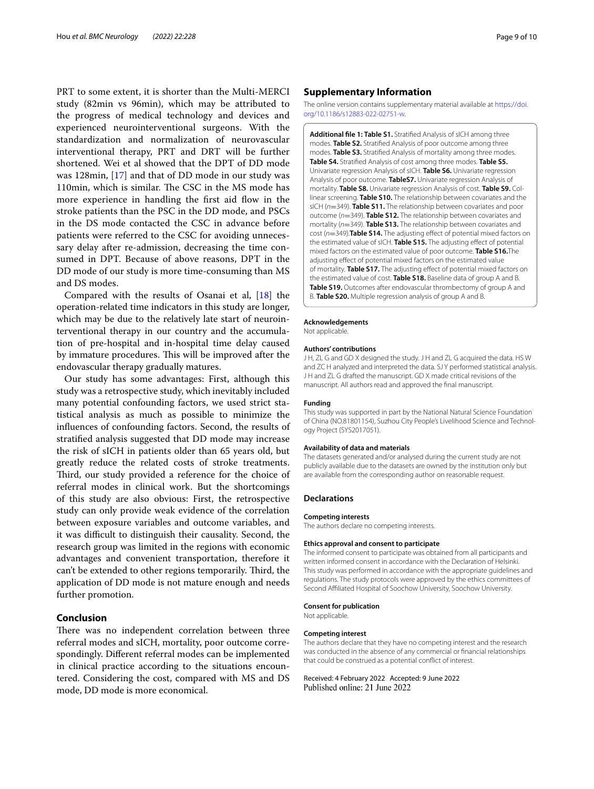PRT to some extent, it is shorter than the Multi-MERCI study (82min vs 96min), which may be attributed to the progress of medical technology and devices and experienced neurointerventional surgeons. With the standardization and normalization of neurovascular interventional therapy, PRT and DRT will be further shortened. Wei et al showed that the DPT of DD mode was 128min, [[17\]](#page-9-22) and that of DD mode in our study was 110min, which is similar. The CSC in the MS mode has more experience in handling the first aid flow in the stroke patients than the PSC in the DD mode, and PSCs in the DS mode contacted the CSC in advance before patients were referred to the CSC for avoiding unnecessary delay after re-admission, decreasing the time consumed in DPT. Because of above reasons, DPT in the DD mode of our study is more time-consuming than MS and DS modes.

Compared with the results of Osanai et al, [[18\]](#page-9-11) the operation-related time indicators in this study are longer, which may be due to the relatively late start of neurointerventional therapy in our country and the accumulation of pre-hospital and in-hospital time delay caused by immature procedures. This will be improved after the endovascular therapy gradually matures.

Our study has some advantages: First, although this study was a retrospective study, which inevitably included many potential confounding factors, we used strict statistical analysis as much as possible to minimize the infuences of confounding factors. Second, the results of stratifed analysis suggested that DD mode may increase the risk of sICH in patients older than 65 years old, but greatly reduce the related costs of stroke treatments. Third, our study provided a reference for the choice of referral modes in clinical work. But the shortcomings of this study are also obvious: First, the retrospective study can only provide weak evidence of the correlation between exposure variables and outcome variables, and it was difficult to distinguish their causality. Second, the research group was limited in the regions with economic advantages and convenient transportation, therefore it can't be extended to other regions temporarily. Third, the application of DD mode is not mature enough and needs further promotion.

## **Conclusion**

There was no independent correlation between three referral modes and sICH, mortality, poor outcome correspondingly. Diferent referral modes can be implemented in clinical practice according to the situations encountered. Considering the cost, compared with MS and DS mode, DD mode is more economical.

## **Supplementary Information**

The online version contains supplementary material available at [https://doi.](https://doi.org/10.1186/s12883-022-02751-w) [org/10.1186/s12883-022-02751-w.](https://doi.org/10.1186/s12883-022-02751-w)

<span id="page-8-0"></span>**Additional fle 1: Table S1.** Stratifed Analysis of sICH among three modes. **Table S2.** Stratifed Analysis of poor outcome among three modes. **Table S3.** Stratifed Analysis of mortality among three modes. **Table S4.** Stratifed Analysis of cost among three modes. **Table S5.**  Univariate regression Analysis of sICH. **Table S6.** Univariate regression Analysis of poor outcome. **TableS7.** Univariate regression Analysis of mortality. **Table S8.** Univariate regression Analysis of cost. **Table S9.** Col‑ linear screening. **Table S10.** The relationship between covariates and the sICH (*n*=349). **Table S11.** The relationship between covariates and poor outcome (*n*=349). **Table S12.** The relationship between covariates and mortality (*n*=349). **Table S13.** The relationship between covariates and cost (*n*=349).**Table S14.** The adjusting efect of potential mixed factors on the estimated value of sICH. **Table S15.** The adjusting efect of potential mixed factors on the estimated value of poor outcome. **Table S16.**The adjusting efect of potential mixed factors on the estimated value of mortality. **Table S17.** The adjusting efect of potential mixed factors on the estimated value of cost. **Table S18.** Baseline data of group A and B. **Table S19.** Outcomes after endovascular thrombectomy of group A and B. **Table S20.** Multiple regression analysis of group A and B.

#### **Acknowledgements**

Not applicable.

#### **Authors' contributions**

J H, ZL G and GD X designed the study. J H and ZL G acquired the data. HS W and ZC H analyzed and interpreted the data. SJ Y performed statistical analysis. J H and ZL G drafted the manuscript. GD X made critical revisions of the manuscript. All authors read and approved the fnal manuscript.

#### **Funding**

This study was supported in part by the National Natural Science Foundation of China (NO.81801154), Suzhou City People's Livelihood Science and Technology Project (SYS2017051).

#### **Availability of data and materials**

The datasets generated and/or analysed during the current study are not publicly available due to the datasets are owned by the institution only but are available from the corresponding author on reasonable request.

#### **Declarations**

#### **Competing interests**

The authors declare no competing interests.

#### **Ethics approval and consent to participate**

The informed consent to participate was obtained from all participants and written informed consent in accordance with the Declaration of Helsinki. This study was performed in accordance with the appropriate guidelines and regulations. The study protocols were approved by the ethics committees of Second Afliated Hospital of Soochow University, Soochow University.

#### **Consent for publication**

Not applicable.

#### **Competing interest**

The authors declare that they have no competing interest and the research was conducted in the absence of any commercial or fnancial relationships that could be construed as a potential confict of interest.

Received: 4 February 2022 Accepted: 9 June 2022Published online: 21 June 2022